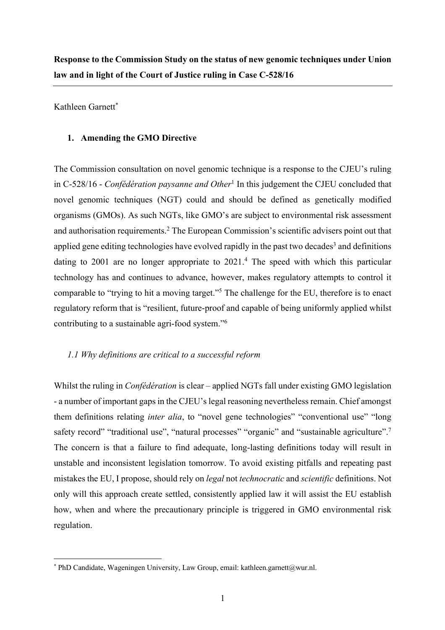**Response to the Commission Study on the status of new genomic techniques under Union law and in light of the Court of Justice ruling in Case C-528/16**

Kathleen Garnett<sup>\*</sup>

# **1. Amending the GMO Directive**

The Commission consultation on novel genomic technique is a response to the CJEU's ruling in C-528/16 - *Confédération paysanne and Other*<sup>1</sup> In this judgement the CJEU concluded that novel genomic techniques (NGT) could and should be defined as genetically modified organisms (GMOs). As such NGTs, like GMO's are subject to environmental risk assessment and authorisation requirements.2 The European Commission's scientific advisers point out that applied gene editing technologies have evolved rapidly in the past two decades<sup>3</sup> and definitions dating to 2001 are no longer appropriate to  $2021<sup>4</sup>$ . The speed with which this particular technology has and continues to advance, however, makes regulatory attempts to control it comparable to "trying to hit a moving target."5 The challenge for the EU, therefore is to enact regulatory reform that is "resilient, future-proof and capable of being uniformly applied whilst contributing to a sustainable agri-food system."6

#### *1.1 Why definitions are critical to a successful reform*

Whilst the ruling in *Confédération* is clear – applied NGTs fall under existing GMO legislation - a number of important gaps in the CJEU's legal reasoning nevertheless remain. Chief amongst them definitions relating *inter alia*, to "novel gene technologies" "conventional use" "long safety record" "traditional use", "natural processes" "organic" and "sustainable agriculture".<sup>7</sup> The concern is that a failure to find adequate, long-lasting definitions today will result in unstable and inconsistent legislation tomorrow. To avoid existing pitfalls and repeating past mistakes the EU, I propose, should rely on *legal* not *technocratic* and *scientific* definitions. Not only will this approach create settled, consistently applied law it will assist the EU establish how, when and where the precautionary principle is triggered in GMO environmental risk regulation.

 $*$  PhD Candidate, Wageningen University, Law Group, email: kathleen.garnett@wur.nl.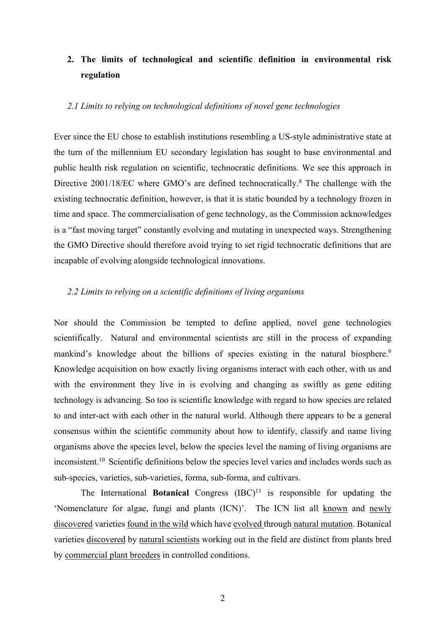# **2. The limits of technological and scientific definition in environmental risk regulation**

# *2.1 Limits to relying on technological definitions of novel gene technologies*

Ever since the EU chose to establish institutions resembling a US-style administrative state at the turn of the millennium EU secondary legislation has sought to base environmental and public health risk regulation on scientific, technocratic definitions. We see this approach in Directive 2001/18/EC where GMO's are defined technocratically.8 The challenge with the existing technocratic definition, however, is that it is static bounded by a technology frozen in time and space. The commercialisation of gene technology, as the Commission acknowledges is a "fast moving target" constantly evolving and mutating in unexpected ways. Strengthening the GMO Directive should therefore avoid trying to set rigid technocratic definitions that are incapable of evolving alongside technological innovations.

#### *2.2 Limits to relying on a scientific definitions of living organisms*

Nor should the Commission be tempted to define applied, novel gene technologies scientifically. Natural and environmental scientists are still in the process of expanding mankind's knowledge about the billions of species existing in the natural biosphere.<sup>9</sup> Knowledge acquisition on how exactly living organisms interact with each other, with us and with the environment they live in is evolving and changing as swiftly as gene editing technology is advancing. So too is scientific knowledge with regard to how species are related to and inter-act with each other in the natural world. Although there appears to be a general consensus within the scientific community about how to identify, classify and name living organisms above the species level, below the species level the naming of living organisms are inconsistent.10 Scientific definitions below the species level varies and includes words such as sub-species, varieties, sub-varieties, forma, sub-forma, and cultivars.

The International **Botanical** Congress  $(ABC)^{11}$  is responsible for updating the 'Nomenclature for algae, fungi and plants (ICN)'. The ICN list all known and newly discovered varieties found in the wild which have evolved through natural mutation. Botanical varieties discovered by natural scientists working out in the field are distinct from plants bred by commercial plant breeders in controlled conditions.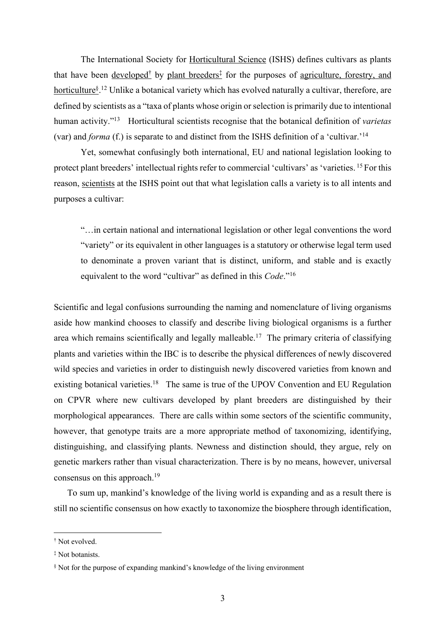The International Society for Horticultural Science (ISHS) defines cultivars as plants that have been developed<sup>†</sup> by plant breeders<sup>‡</sup> for the purposes of agriculture, forestry, and horticulture<sup>§ 12</sup> Unlike a botanical variety which has evolved naturally a cultivar, therefore, are defined by scientists as a "taxa of plants whose origin or selection is primarily due to intentional human activity."13 Horticultural scientists recognise that the botanical definition of *varietas* (var) and *forma* (f.) is separate to and distinct from the ISHS definition of a 'cultivar.'14

Yet, somewhat confusingly both international, EU and national legislation looking to protect plant breeders' intellectual rights refer to commercial 'cultivars' as 'varieties. <sup>15</sup> For this reason, scientists at the ISHS point out that what legislation calls a variety is to all intents and purposes a cultivar:

"…in certain national and international legislation or other legal conventions the word "variety" or its equivalent in other languages is a statutory or otherwise legal term used to denominate a proven variant that is distinct, uniform, and stable and is exactly equivalent to the word "cultivar" as defined in this *Code*."16

Scientific and legal confusions surrounding the naming and nomenclature of living organisms aside how mankind chooses to classify and describe living biological organisms is a further area which remains scientifically and legally malleable.<sup>17</sup> The primary criteria of classifying plants and varieties within the IBC is to describe the physical differences of newly discovered wild species and varieties in order to distinguish newly discovered varieties from known and existing botanical varieties.<sup>18</sup> The same is true of the UPOV Convention and EU Regulation on CPVR where new cultivars developed by plant breeders are distinguished by their morphological appearances. There are calls within some sectors of the scientific community, however, that genotype traits are a more appropriate method of taxonomizing, identifying, distinguishing, and classifying plants. Newness and distinction should, they argue, rely on genetic markers rather than visual characterization. There is by no means, however, universal consensus on this approach.<sup>19</sup>

To sum up, mankind's knowledge of the living world is expanding and as a result there is still no scientific consensus on how exactly to taxonomize the biosphere through identification,

<sup>†</sup> Not evolved.

<sup>‡</sup> Not botanists.

<sup>§</sup> Not for the purpose of expanding mankind's knowledge of the living environment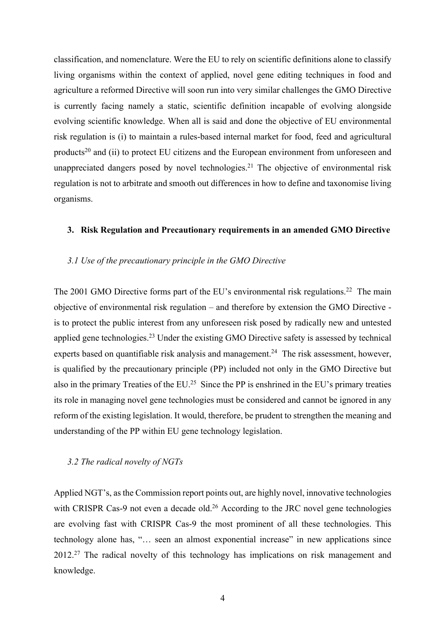classification, and nomenclature. Were the EU to rely on scientific definitions alone to classify living organisms within the context of applied, novel gene editing techniques in food and agriculture a reformed Directive will soon run into very similar challenges the GMO Directive is currently facing namely a static, scientific definition incapable of evolving alongside evolving scientific knowledge. When all is said and done the objective of EU environmental risk regulation is (i) to maintain a rules-based internal market for food, feed and agricultural products<sup>20</sup> and (ii) to protect EU citizens and the European environment from unforeseen and unappreciated dangers posed by novel technologies.<sup>21</sup> The objective of environmental risk regulation is not to arbitrate and smooth out differences in how to define and taxonomise living organisms.

#### **3. Risk Regulation and Precautionary requirements in an amended GMO Directive**

# *3.1 Use of the precautionary principle in the GMO Directive*

The 2001 GMO Directive forms part of the EU's environmental risk regulations.<sup>22</sup> The main objective of environmental risk regulation – and therefore by extension the GMO Directive is to protect the public interest from any unforeseen risk posed by radically new and untested applied gene technologies.<sup>23</sup> Under the existing GMO Directive safety is assessed by technical experts based on quantifiable risk analysis and management.<sup>24</sup> The risk assessment, however, is qualified by the precautionary principle (PP) included not only in the GMO Directive but also in the primary Treaties of the EU.25 Since the PP is enshrined in the EU's primary treaties its role in managing novel gene technologies must be considered and cannot be ignored in any reform of the existing legislation. It would, therefore, be prudent to strengthen the meaning and understanding of the PP within EU gene technology legislation.

#### *3.2 The radical novelty of NGTs*

Applied NGT's, as the Commission report points out, are highly novel, innovative technologies with CRISPR Cas-9 not even a decade old.<sup>26</sup> According to the JRC novel gene technologies are evolving fast with CRISPR Cas-9 the most prominent of all these technologies. This technology alone has, "… seen an almost exponential increase" in new applications since 2012<sup>27</sup> The radical novelty of this technology has implications on risk management and knowledge.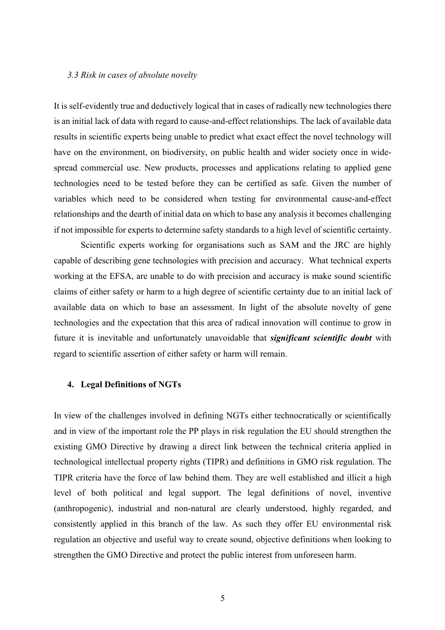#### *3.3 Risk in cases of absolute novelty*

It is self-evidently true and deductively logical that in cases of radically new technologies there is an initial lack of data with regard to cause-and-effect relationships. The lack of available data results in scientific experts being unable to predict what exact effect the novel technology will have on the environment, on biodiversity, on public health and wider society once in widespread commercial use. New products, processes and applications relating to applied gene technologies need to be tested before they can be certified as safe. Given the number of variables which need to be considered when testing for environmental cause-and-effect relationships and the dearth of initial data on which to base any analysis it becomes challenging if not impossible for experts to determine safety standards to a high level of scientific certainty.

Scientific experts working for organisations such as SAM and the JRC are highly capable of describing gene technologies with precision and accuracy. What technical experts working at the EFSA, are unable to do with precision and accuracy is make sound scientific claims of either safety or harm to a high degree of scientific certainty due to an initial lack of available data on which to base an assessment. In light of the absolute novelty of gene technologies and the expectation that this area of radical innovation will continue to grow in future it is inevitable and unfortunately unavoidable that *significant scientific doubt* with regard to scientific assertion of either safety or harm will remain.

#### **4. Legal Definitions of NGTs**

In view of the challenges involved in defining NGTs either technocratically or scientifically and in view of the important role the PP plays in risk regulation the EU should strengthen the existing GMO Directive by drawing a direct link between the technical criteria applied in technological intellectual property rights (TIPR) and definitions in GMO risk regulation. The TIPR criteria have the force of law behind them. They are well established and illicit a high level of both political and legal support. The legal definitions of novel, inventive (anthropogenic), industrial and non-natural are clearly understood, highly regarded, and consistently applied in this branch of the law. As such they offer EU environmental risk regulation an objective and useful way to create sound, objective definitions when looking to strengthen the GMO Directive and protect the public interest from unforeseen harm.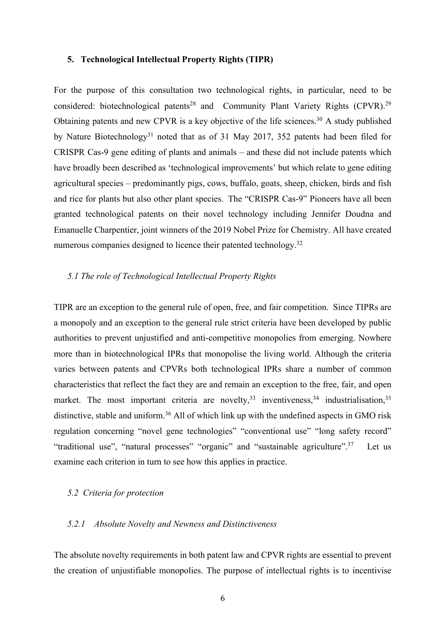#### **5. Technological Intellectual Property Rights (TIPR)**

For the purpose of this consultation two technological rights, in particular, need to be considered: biotechnological patents<sup>28</sup> and Community Plant Variety Rights (CPVR).<sup>29</sup> Obtaining patents and new CPVR is a key objective of the life sciences.<sup>30</sup> A study published by Nature Biotechnology<sup>31</sup> noted that as of 31 May 2017, 352 patents had been filed for CRISPR Cas-9 gene editing of plants and animals – and these did not include patents which have broadly been described as 'technological improvements' but which relate to gene editing agricultural species – predominantly pigs, cows, buffalo, goats, sheep, chicken, birds and fish and rice for plants but also other plant species. The "CRISPR Cas-9" Pioneers have all been granted technological patents on their novel technology including Jennifer Doudna and Emanuelle Charpentier, joint winners of the 2019 Nobel Prize for Chemistry. All have created numerous companies designed to licence their patented technology.<sup>32</sup>

# *5.1 The role of Technological Intellectual Property Rights*

TIPR are an exception to the general rule of open, free, and fair competition. Since TIPRs are a monopoly and an exception to the general rule strict criteria have been developed by public authorities to prevent unjustified and anti-competitive monopolies from emerging. Nowhere more than in biotechnological IPRs that monopolise the living world. Although the criteria varies between patents and CPVRs both technological IPRs share a number of common characteristics that reflect the fact they are and remain an exception to the free, fair, and open market. The most important criteria are novelty,  $33$  inventiveness,  $34$  industrialisation,  $35$ distinctive, stable and uniform.<sup>36</sup> All of which link up with the undefined aspects in GMO risk regulation concerning "novel gene technologies" "conventional use" "long safety record" "traditional use", "natural processes" "organic" and "sustainable agriculture".<sup>37</sup> Let us examine each criterion in turn to see how this applies in practice.

# *5.2 Criteria for protection*

#### *5.2.1 Absolute Novelty and Newness and Distinctiveness*

The absolute novelty requirements in both patent law and CPVR rights are essential to prevent the creation of unjustifiable monopolies. The purpose of intellectual rights is to incentivise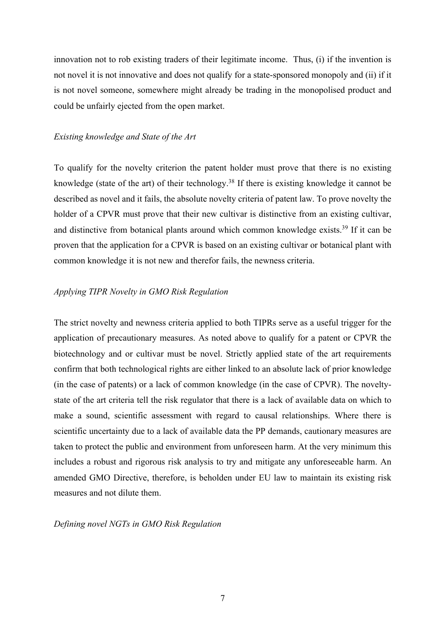innovation not to rob existing traders of their legitimate income. Thus, (i) if the invention is not novel it is not innovative and does not qualify for a state-sponsored monopoly and (ii) if it is not novel someone, somewhere might already be trading in the monopolised product and could be unfairly ejected from the open market.

#### *Existing knowledge and State of the Art*

To qualify for the novelty criterion the patent holder must prove that there is no existing knowledge (state of the art) of their technology.38 If there is existing knowledge it cannot be described as novel and it fails, the absolute novelty criteria of patent law. To prove novelty the holder of a CPVR must prove that their new cultivar is distinctive from an existing cultivar, and distinctive from botanical plants around which common knowledge exists.39 If it can be proven that the application for a CPVR is based on an existing cultivar or botanical plant with common knowledge it is not new and therefor fails, the newness criteria.

#### *Applying TIPR Novelty in GMO Risk Regulation*

The strict novelty and newness criteria applied to both TIPRs serve as a useful trigger for the application of precautionary measures. As noted above to qualify for a patent or CPVR the biotechnology and or cultivar must be novel. Strictly applied state of the art requirements confirm that both technological rights are either linked to an absolute lack of prior knowledge (in the case of patents) or a lack of common knowledge (in the case of CPVR). The noveltystate of the art criteria tell the risk regulator that there is a lack of available data on which to make a sound, scientific assessment with regard to causal relationships. Where there is scientific uncertainty due to a lack of available data the PP demands, cautionary measures are taken to protect the public and environment from unforeseen harm. At the very minimum this includes a robust and rigorous risk analysis to try and mitigate any unforeseeable harm. An amended GMO Directive, therefore, is beholden under EU law to maintain its existing risk measures and not dilute them.

#### *Defining novel NGTs in GMO Risk Regulation*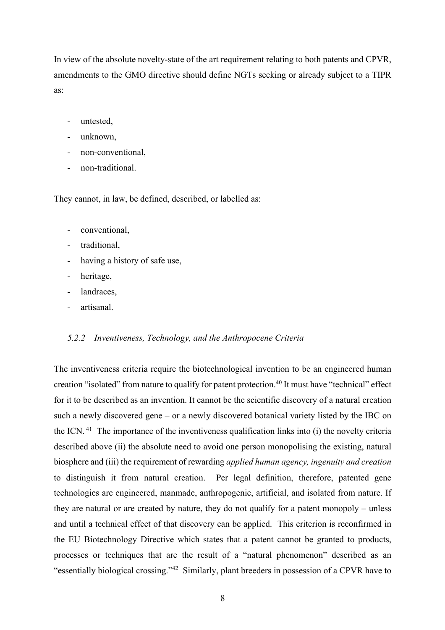In view of the absolute novelty-state of the art requirement relating to both patents and CPVR, amendments to the GMO directive should define NGTs seeking or already subject to a TIPR as:

- untested.
- unknown.
- non-conventional,
- non-traditional.

They cannot, in law, be defined, described, or labelled as:

- conventional,
- traditional,
- having a history of safe use,
- heritage,
- landraces.
- artisanal.

#### *5.2.2 Inventiveness, Technology, and the Anthropocene Criteria*

The inventiveness criteria require the biotechnological invention to be an engineered human creation "isolated" from nature to qualify for patent protection.<sup>40</sup> It must have "technical" effect for it to be described as an invention. It cannot be the scientific discovery of a natural creation such a newly discovered gene – or a newly discovered botanical variety listed by the IBC on the ICN. 41 The importance of the inventiveness qualification links into (i) the novelty criteria described above (ii) the absolute need to avoid one person monopolising the existing, natural biosphere and (iii) the requirement of rewarding *applied human agency, ingenuity and creation* to distinguish it from natural creation. Per legal definition, therefore, patented gene technologies are engineered, manmade, anthropogenic, artificial, and isolated from nature. If they are natural or are created by nature, they do not qualify for a patent monopoly – unless and until a technical effect of that discovery can be applied. This criterion is reconfirmed in the EU Biotechnology Directive which states that a patent cannot be granted to products, processes or techniques that are the result of a "natural phenomenon" described as an "essentially biological crossing."42 Similarly, plant breeders in possession of a CPVR have to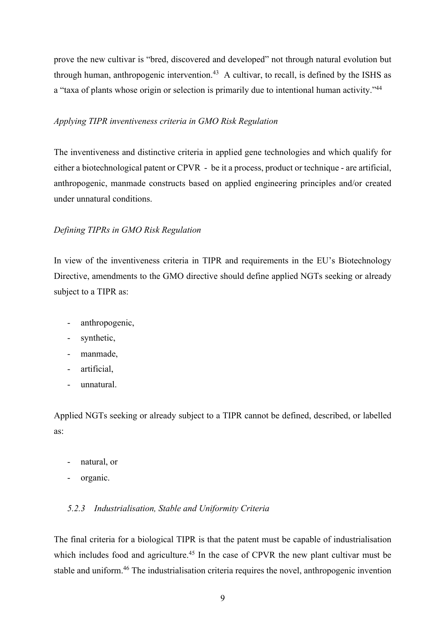prove the new cultivar is "bred, discovered and developed" not through natural evolution but through human, anthropogenic intervention.<sup>43</sup> A cultivar, to recall, is defined by the ISHS as a "taxa of plants whose origin or selection is primarily due to intentional human activity."<sup>44</sup>

#### *Applying TIPR inventiveness criteria in GMO Risk Regulation*

The inventiveness and distinctive criteria in applied gene technologies and which qualify for either a biotechnological patent or CPVR - be it a process, product or technique - are artificial, anthropogenic, manmade constructs based on applied engineering principles and/or created under unnatural conditions.

#### *Defining TIPRs in GMO Risk Regulation*

In view of the inventiveness criteria in TIPR and requirements in the EU's Biotechnology Directive, amendments to the GMO directive should define applied NGTs seeking or already subject to a TIPR as:

- anthropogenic,
- synthetic,
- manmade,
- artificial,
- unnatural.

Applied NGTs seeking or already subject to a TIPR cannot be defined, described, or labelled as:

- natural, or
- organic.

#### *5.2.3 Industrialisation, Stable and Uniformity Criteria*

The final criteria for a biological TIPR is that the patent must be capable of industrialisation which includes food and agriculture.<sup>45</sup> In the case of CPVR the new plant cultivar must be stable and uniform.<sup>46</sup> The industrialisation criteria requires the novel, anthropogenic invention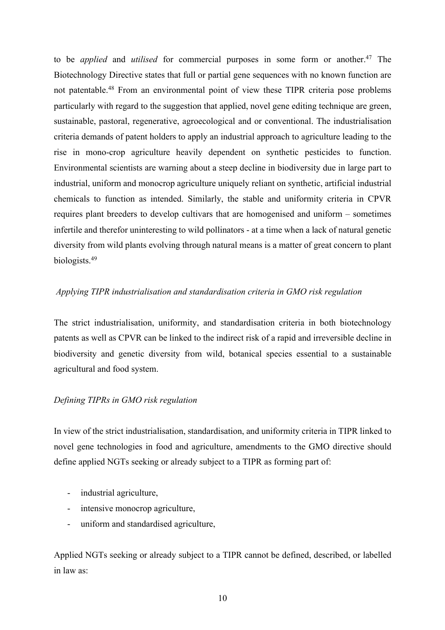to be *applied* and *utilised* for commercial purposes in some form or another.47 The Biotechnology Directive states that full or partial gene sequences with no known function are not patentable.48 From an environmental point of view these TIPR criteria pose problems particularly with regard to the suggestion that applied, novel gene editing technique are green, sustainable, pastoral, regenerative, agroecological and or conventional. The industrialisation criteria demands of patent holders to apply an industrial approach to agriculture leading to the rise in mono-crop agriculture heavily dependent on synthetic pesticides to function. Environmental scientists are warning about a steep decline in biodiversity due in large part to industrial, uniform and monocrop agriculture uniquely reliant on synthetic, artificial industrial chemicals to function as intended. Similarly, the stable and uniformity criteria in CPVR requires plant breeders to develop cultivars that are homogenised and uniform – sometimes infertile and therefor uninteresting to wild pollinators - at a time when a lack of natural genetic diversity from wild plants evolving through natural means is a matter of great concern to plant biologists.49

# *Applying TIPR industrialisation and standardisation criteria in GMO risk regulation*

The strict industrialisation, uniformity, and standardisation criteria in both biotechnology patents as well as CPVR can be linked to the indirect risk of a rapid and irreversible decline in biodiversity and genetic diversity from wild, botanical species essential to a sustainable agricultural and food system.

# *Defining TIPRs in GMO risk regulation*

In view of the strict industrialisation, standardisation, and uniformity criteria in TIPR linked to novel gene technologies in food and agriculture, amendments to the GMO directive should define applied NGTs seeking or already subject to a TIPR as forming part of:

- industrial agriculture,
- intensive monocrop agriculture,
- uniform and standardised agriculture,

Applied NGTs seeking or already subject to a TIPR cannot be defined, described, or labelled in law as: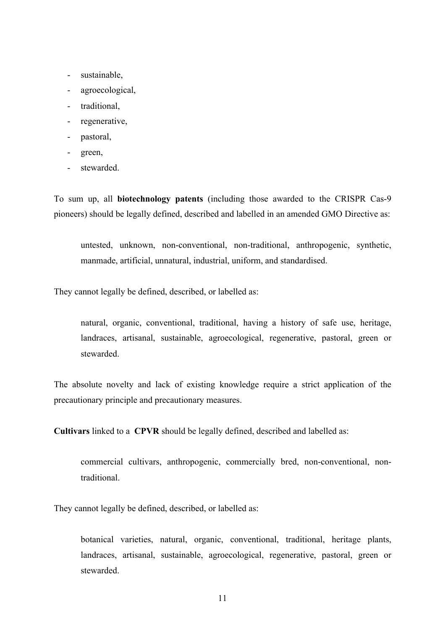- sustainable,
- agroecological,
- traditional,
- regenerative,
- pastoral,
- green,
- stewarded.

To sum up, all **biotechnology patents** (including those awarded to the CRISPR Cas-9 pioneers) should be legally defined, described and labelled in an amended GMO Directive as:

untested, unknown, non-conventional, non-traditional, anthropogenic, synthetic, manmade, artificial, unnatural, industrial, uniform, and standardised.

They cannot legally be defined, described, or labelled as:

natural, organic, conventional, traditional, having a history of safe use, heritage, landraces, artisanal, sustainable, agroecological, regenerative, pastoral, green or stewarded.

The absolute novelty and lack of existing knowledge require a strict application of the precautionary principle and precautionary measures.

**Cultivars** linked to a **CPVR** should be legally defined, described and labelled as:

commercial cultivars, anthropogenic, commercially bred, non-conventional, nontraditional.

They cannot legally be defined, described, or labelled as:

botanical varieties, natural, organic, conventional, traditional, heritage plants, landraces, artisanal, sustainable, agroecological, regenerative, pastoral, green or stewarded.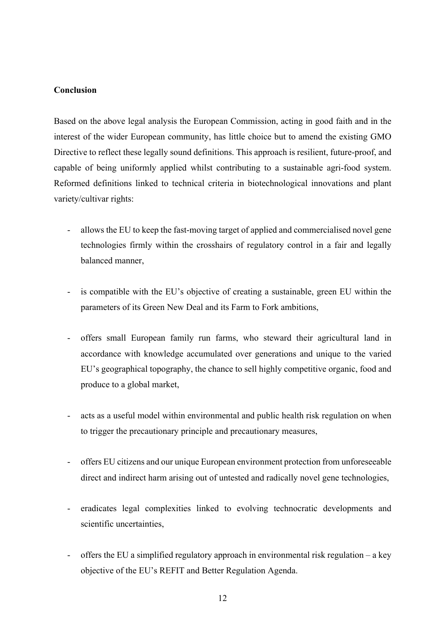# **Conclusion**

Based on the above legal analysis the European Commission, acting in good faith and in the interest of the wider European community, has little choice but to amend the existing GMO Directive to reflect these legally sound definitions. This approach is resilient, future-proof, and capable of being uniformly applied whilst contributing to a sustainable agri-food system. Reformed definitions linked to technical criteria in biotechnological innovations and plant variety/cultivar rights:

- allows the EU to keep the fast-moving target of applied and commercialised novel gene technologies firmly within the crosshairs of regulatory control in a fair and legally balanced manner,
- is compatible with the EU's objective of creating a sustainable, green EU within the parameters of its Green New Deal and its Farm to Fork ambitions,
- offers small European family run farms, who steward their agricultural land in accordance with knowledge accumulated over generations and unique to the varied EU's geographical topography, the chance to sell highly competitive organic, food and produce to a global market,
- acts as a useful model within environmental and public health risk regulation on when to trigger the precautionary principle and precautionary measures,
- offers EU citizens and our unique European environment protection from unforeseeable direct and indirect harm arising out of untested and radically novel gene technologies,
- eradicates legal complexities linked to evolving technocratic developments and scientific uncertainties,
- offers the EU a simplified regulatory approach in environmental risk regulation a key objective of the EU's REFIT and Better Regulation Agenda.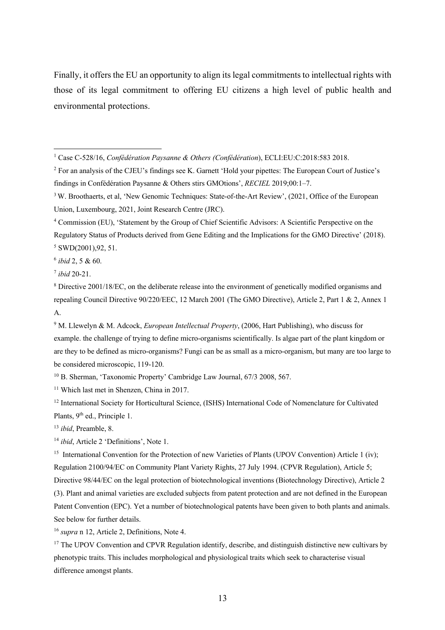Finally, it offers the EU an opportunity to align its legal commitments to intellectual rights with those of its legal commitment to offering EU citizens a high level of public health and environmental protections.

<sup>6</sup> *ibid* 2, 5 & 60.

<sup>7</sup> *ibid* 20-21.

<sup>10</sup> B. Sherman, 'Taxonomic Property' Cambridge Law Journal, 67/3 2008, 567.

<sup>11</sup> Which last met in Shenzen, China in 2017.

<sup>12</sup> International Society for Horticultural Science, (ISHS) International Code of Nomenclature for Cultivated Plants, 9<sup>th</sup> ed., Principle 1.

<sup>13</sup> *ibid*, Preamble, 8.

<sup>14</sup> *ibid*, Article 2 'Definitions', Note 1.

<sup>15</sup> International Convention for the Protection of new Varieties of Plants (UPOV Convention) Article 1 (iv); Regulation 2100/94/EC on Community Plant Variety Rights, 27 July 1994. (CPVR Regulation), Article 5; Directive 98/44/EC on the legal protection of biotechnological inventions (Biotechnology Directive), Article 2 (3). Plant and animal varieties are excluded subjects from patent protection and are not defined in the European Patent Convention (EPC). Yet a number of biotechnological patents have been given to both plants and animals. See below for further details.

<sup>16</sup> *supra* n 12, Article 2, Definitions, Note 4.

<sup>17</sup> The UPOV Convention and CPVR Regulation identify, describe, and distinguish distinctive new cultivars by phenotypic traits. This includes morphological and physiological traits which seek to characterise visual difference amongst plants.

<sup>1</sup> Case C‐528/16, *Confédération Paysanne & Others (Confédération*), ECLI:EU:C:2018:583 2018.

<sup>2</sup> For an analysis of the CJEU's findings see K. Garnett 'Hold your pipettes: The European Court of Justice's findings in Confédération Paysanne & Others stirs GMOtions', *RECIEL* 2019;00:1–7.

<sup>&</sup>lt;sup>3</sup> W. Broothaerts, et al, 'New Genomic Techniques: State-of-the-Art Review', (2021, Office of the European Union, Luxembourg, 2021, Joint Research Centre (JRC).

<sup>4</sup> Commission (EU), 'Statement by the Group of Chief Scientific Advisors: A Scientific Perspective on the Regulatory Status of Products derived from Gene Editing and the Implications for the GMO Directive' (2018).  $5$  SWD(2001), 92, 51.

<sup>8</sup> Directive 2001/18/EC, on the deliberate release into the environment of genetically modified organisms and repealing Council Directive 90/220/EEC, 12 March 2001 (The GMO Directive), Article 2, Part 1 & 2, Annex 1 A.

<sup>9</sup> M. Llewelyn & M. Adcock, *European Intellectual Property*, (2006, Hart Publishing), who discuss for example. the challenge of trying to define micro-organisms scientifically. Is algae part of the plant kingdom or are they to be defined as micro-organisms? Fungi can be as small as a micro-organism, but many are too large to be considered microscopic, 119-120.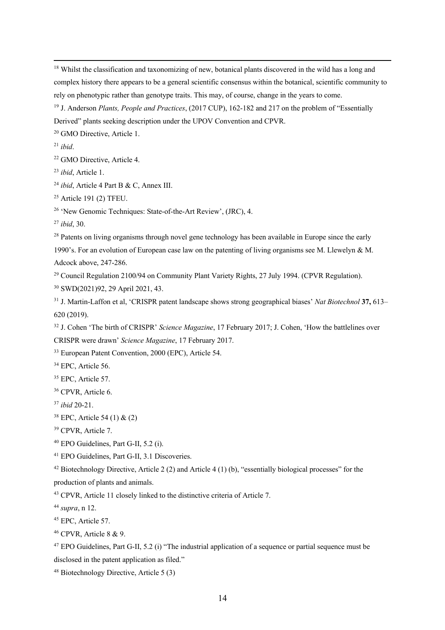<sup>18</sup> Whilst the classification and taxonomizing of new, botanical plants discovered in the wild has a long and complex history there appears to be a general scientific consensus within the botanical, scientific community to rely on phenotypic rather than genotype traits. This may, of course, change in the years to come.

 J. Anderson *Plants, People and Practices*, (2017 CUP), 162-182 and 217 on the problem of "Essentially Derived" plants seeking description under the UPOV Convention and CPVR.

<sup>20</sup> GMO Directive, Article 1.

*ibid*.

GMO Directive, Article 4.

*ibid*, Article 1.

*ibid*, Article 4 Part B & C, Annex III.

Article 191 (2) TFEU.

'New Genomic Techniques: State-of-the-Art Review', (JRC), 4.

*ibid*, 30.

<sup>28</sup> Patents on living organisms through novel gene technology has been available in Europe since the early 1990's. For an evolution of European case law on the patenting of living organisms see M. Llewelyn & M. Adcock above, 247-286.

Council Regulation 2100/94 on Community Plant Variety Rights, 27 July 1994. (CPVR Regulation).

SWD(2021)92, 29 April 2021, 43.

 J. Martin-Laffon et al, 'CRISPR patent landscape shows strong geographical biases' *Nat Biotechnol* **37,** 613– 620 (2019).

J. Cohen 'The birth of CRISPR' *Science Magazine*, 17 February 2017; J. Cohen, 'How the battlelines over

CRISPR were drawn' *Science Magazine*, 17 February 2017.

European Patent Convention, 2000 (EPC), Article 54.

<sup>34</sup> EPC, Article 56.

<sup>35</sup> EPC, Article 57.

CPVR, Article 6.

*ibid* 20-21.

EPC, Article 54 (1) & (2)

CPVR, Article 7.

EPO Guidelines, Part G-II, 5.2 (i).

EPO Guidelines, Part G-II, 3.1 Discoveries.

Biotechnology Directive, Article 2 (2) and Article 4 (1) (b), "essentially biological processes" for the

production of plants and animals.

CPVR, Article 11 closely linked to the distinctive criteria of Article 7.

*supra*, n 12.

<sup>45</sup> EPC, Article 57.

CPVR, Article 8 & 9.

 EPO Guidelines, Part G-II, 5.2 (i) "The industrial application of a sequence or partial sequence must be disclosed in the patent application as filed."

Biotechnology Directive, Article 5 (3)